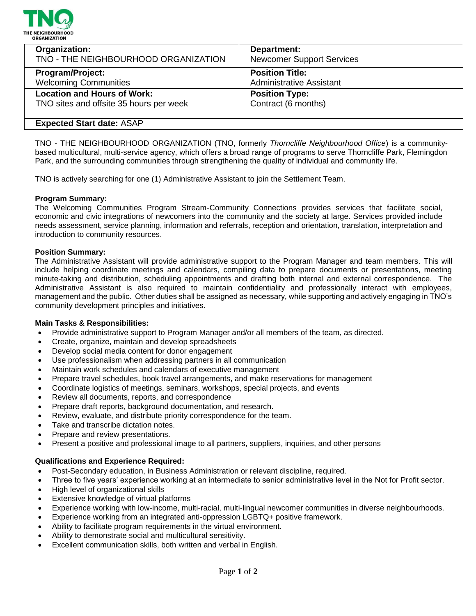

| Organization:                           | Department:                      |
|-----------------------------------------|----------------------------------|
| TNO - THE NEIGHBOURHOOD ORGANIZATION    | <b>Newcomer Support Services</b> |
| <b>Program/Project:</b>                 | <b>Position Title:</b>           |
| <b>Welcoming Communities</b>            | <b>Administrative Assistant</b>  |
| <b>Location and Hours of Work:</b>      | <b>Position Type:</b>            |
| TNO sites and offsite 35 hours per week | Contract (6 months)              |
| <b>Expected Start date: ASAP</b>        |                                  |

TNO - THE NEIGHBOURHOOD ORGANIZATION (TNO, formerly *Thorncliffe Neighbourhood Office*) is a communitybased multicultural, multi-service agency, which offers a broad range of programs to serve Thorncliffe Park, Flemingdon Park, and the surrounding communities through strengthening the quality of individual and community life.

TNO is actively searching for one (1) Administrative Assistant to join the Settlement Team.

# **Program Summary:**

The Welcoming Communities Program Stream-Community Connections provides services that facilitate social, economic and civic integrations of newcomers into the community and the society at large. Services provided include needs assessment, service planning, information and referrals, reception and orientation, translation, interpretation and introduction to community resources.

### **Position Summary:**

The Administrative Assistant will provide administrative support to the Program Manager and team members. This will include helping coordinate meetings and calendars, compiling data to prepare documents or presentations, meeting minute-taking and distribution, scheduling appointments and drafting both internal and external correspondence. The Administrative Assistant is also required to maintain confidentiality and professionally interact with employees, management and the public. Other duties shall be assigned as necessary, while supporting and actively engaging in TNO's community development principles and initiatives.

### **Main Tasks & Responsibilities:**

- Provide administrative support to Program Manager and/or all members of the team, as directed.
- Create, organize, maintain and develop spreadsheets
- Develop social media content for donor engagement
- Use professionalism when addressing partners in all communication
- Maintain work schedules and calendars of executive management
- Prepare travel schedules, book travel arrangements, and make reservations for management
- Coordinate logistics of meetings, seminars, workshops, special projects, and events
- Review all documents, reports, and correspondence
- Prepare draft reports, background documentation, and research.
- Review, evaluate, and distribute priority correspondence for the team.
- Take and transcribe dictation notes.
- Prepare and review presentations.
- Present a positive and professional image to all partners, suppliers, inquiries, and other persons

### **Qualifications and Experience Required:**

- Post-Secondary education, in Business Administration or relevant discipline, required.
- Three to five years' experience working at an intermediate to senior administrative level in the Not for Profit sector.
- High level of organizational skills
- Extensive knowledge of virtual platforms
- Experience working with low-income, multi-racial, multi-lingual newcomer communities in diverse neighbourhoods.
- Experience working from an integrated anti-oppression LGBTQ+ positive framework.
- Ability to facilitate program requirements in the virtual environment.
- Ability to demonstrate social and multicultural sensitivity.
- Excellent communication skills, both written and verbal in English.